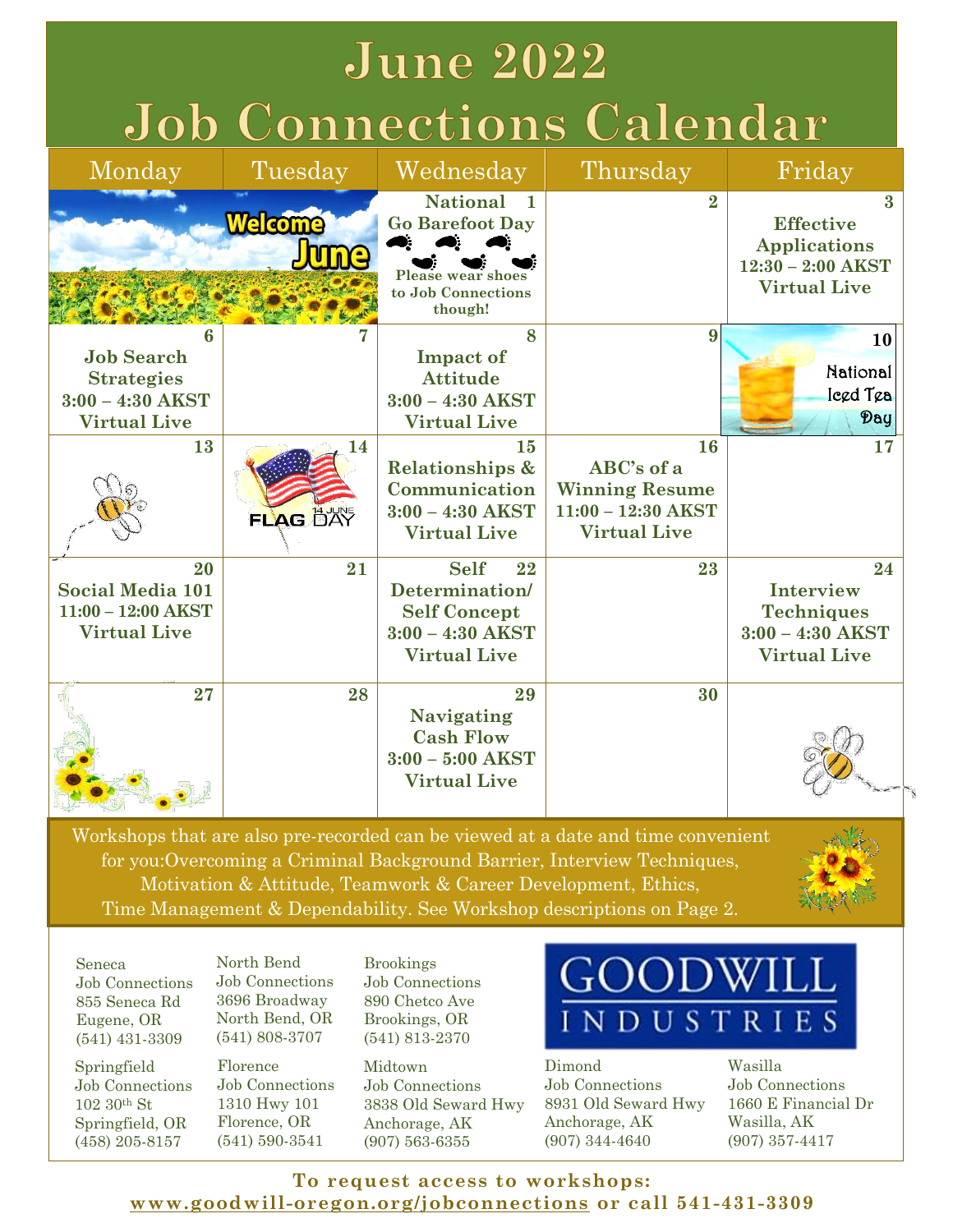# **June 2022 Job Connections Calendar**

| Monday                                                                                   | Tuesday                       | Wednesday                                                                                                                | Thursday                                                                                 | Friday                                                                                                    |
|------------------------------------------------------------------------------------------|-------------------------------|--------------------------------------------------------------------------------------------------------------------------|------------------------------------------------------------------------------------------|-----------------------------------------------------------------------------------------------------------|
|                                                                                          | <b>Welcome</b><br><b>Jume</b> | <b>National</b><br>$\blacksquare$<br><b>Go Barefoot Day</b><br><b>Please wear shoes</b><br>to Job Connections<br>though! | $\bf{2}$                                                                                 | $\boldsymbol{3}$<br><b>Effective</b><br><b>Applications</b><br>$12:30 - 2:00$ AKST<br><b>Virtual Live</b> |
| հ<br><b>Job Search</b><br><b>Strategies</b><br>$3:00 - 4:30$ AKST<br><b>Virtual Live</b> |                               | 8<br><b>Impact of</b><br><b>Attitude</b><br>$3:00 - 4:30$ AKST<br><b>Virtual Live</b>                                    | 9                                                                                        | 10<br>National<br>legd Tga<br>Day                                                                         |
| 13                                                                                       | 14<br>FLAG DAY                | 15<br><b>Relationships &amp;</b><br>Communication<br>$3:00 - 4:30$ AKST<br><b>Virtual Live</b>                           | 16<br>ABC's of a<br><b>Winning Resume</b><br>$11:00 - 12:30$ AKST<br><b>Virtual Live</b> | 17                                                                                                        |
| 20<br><b>Social Media 101</b><br>$11:00 - 12:00$ AKST<br><b>Virtual Live</b>             | 21                            | <b>Self</b><br>22<br>Determination/<br><b>Self Concept</b><br>$3:00 - 4:30$ AKST<br><b>Virtual Live</b>                  | 23                                                                                       | 24<br><b>Interview</b><br><b>Techniques</b><br>$3:00 - 4:30$ AKST<br><b>Virtual Live</b>                  |
| 27                                                                                       | 28                            | 29<br><b>Navigating</b><br><b>Cash Flow</b><br>$3:00 - 5:00$ AKST<br><b>Virtual Live</b>                                 | 30                                                                                       |                                                                                                           |

Workshops that are also pre-recorded can be viewed at a date and time convenient for you:Overcoming a Criminal Background Barrier, Interview Techniques, Motivation & Attitude, Teamwork & Career Development, Ethics, Time Management & Dependability. See Workshop descriptions on Page 2.



Seneca Job Connections 855 Seneca Rd Eugene, OR (541) 431-3309

Springfield Job Connections 102 30th St Springfield, OR (458) 205-8157

North Bend Job Connections 3696 Broadway North Bend, OR (541) 808-3707

Florence Job Connections 1310 Hwy 101 Florence, OR (541) 590-3541

Brookings Job Connections 890 Chetco Ave Brookings, OR (541) 813-2370

Midtown Job Connections 3838 Old Seward Hwy Anchorage, AK (907) 563-6355

# )ODW INDUSTRIES

Dimond Job Connections 8931 Old Seward Hwy Anchorage, AK (907) 344-4640

Wasilla Job Connections 1660 E Financial Dr Wasilla, AK (907) 357-4417

**To request access to workshops: [www.goodwill-oregon.org/jobconnections](https://docs.google.com/forms/d/e/1FAIpQLScVz-q2nSk1y0x46BeSDDNIaMK-5DmOn7HK12ZV2ahj373I6g/viewform) or call 541-431-3309**